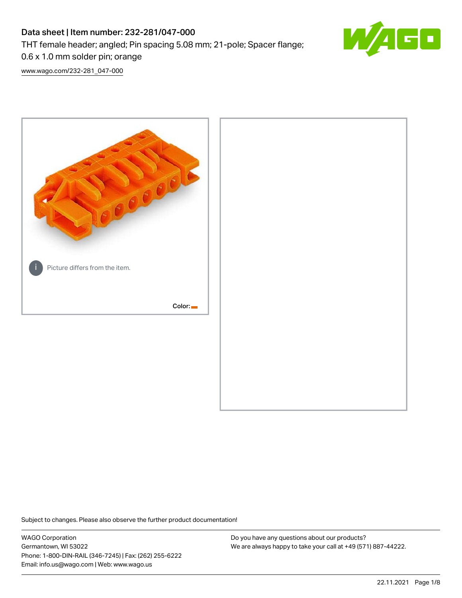# Data sheet | Item number: 232-281/047-000 THT female header; angled; Pin spacing 5.08 mm; 21-pole; Spacer flange; 0.6 x 1.0 mm solder pin; orange



[www.wago.com/232-281\\_047-000](http://www.wago.com/232-281_047-000)



Subject to changes. Please also observe the further product documentation!

WAGO Corporation Germantown, WI 53022 Phone: 1-800-DIN-RAIL (346-7245) | Fax: (262) 255-6222 Email: info.us@wago.com | Web: www.wago.us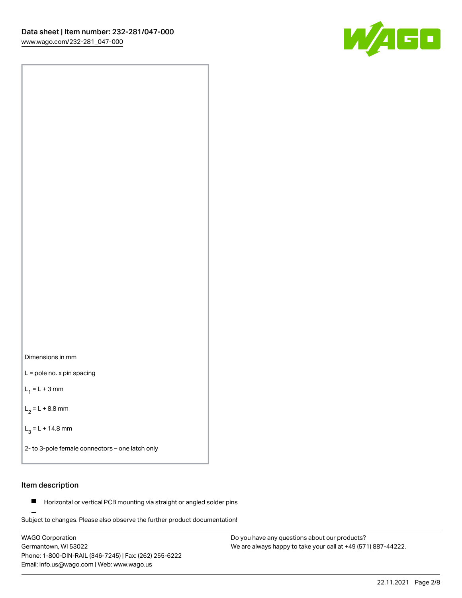

Dimensions in mm

L = pole no. x pin spacing

 $L_1 = L + 3$  mm

 $L_2 = L + 8.8$  mm

 $L_3 = L + 14.8$  mm

2- to 3-pole female connectors – one latch only

# Item description

**Horizontal or vertical PCB mounting via straight or angled solder pins** 

Subject to changes. Please also observe the further product documentation! For board-to-board and board-to-wire connections

WAGO Corporation Germantown, WI 53022 Phone: 1-800-DIN-RAIL (346-7245) | Fax: (262) 255-6222 Email: info.us@wago.com | Web: www.wago.us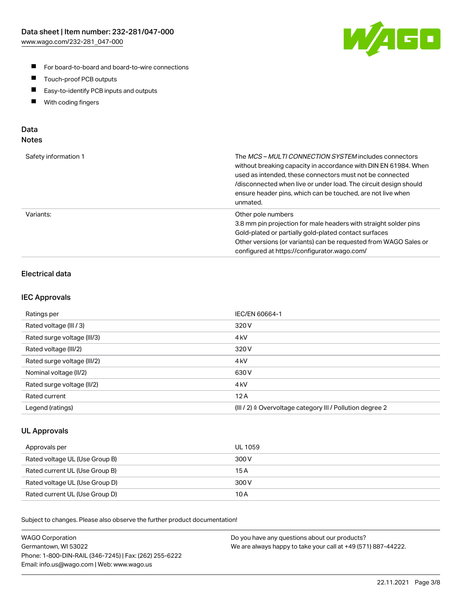

- For board-to-board and board-to-wire connections
- $\blacksquare$ Touch-proof PCB outputs
- $\blacksquare$ Easy-to-identify PCB inputs and outputs
- $\blacksquare$ With coding fingers

# Data **Notes**

| Safety information 1 | The <i>MCS – MULTI CONNECTION SYSTEM</i> includes connectors<br>without breaking capacity in accordance with DIN EN 61984. When<br>used as intended, these connectors must not be connected<br>/disconnected when live or under load. The circuit design should<br>ensure header pins, which can be touched, are not live when<br>unmated. |
|----------------------|--------------------------------------------------------------------------------------------------------------------------------------------------------------------------------------------------------------------------------------------------------------------------------------------------------------------------------------------|
| Variants:            | Other pole numbers<br>3.8 mm pin projection for male headers with straight solder pins<br>Gold-plated or partially gold-plated contact surfaces<br>Other versions (or variants) can be requested from WAGO Sales or<br>configured at https://configurator.wago.com/                                                                        |

# Electrical data

### IEC Approvals

| Ratings per                 | IEC/EN 60664-1                                                        |
|-----------------------------|-----------------------------------------------------------------------|
| Rated voltage (III / 3)     | 320 V                                                                 |
| Rated surge voltage (III/3) | 4 <sub>k</sub> V                                                      |
| Rated voltage (III/2)       | 320 V                                                                 |
| Rated surge voltage (III/2) | 4 <sub>k</sub> V                                                      |
| Nominal voltage (II/2)      | 630 V                                                                 |
| Rated surge voltage (II/2)  | 4 <sub>kV</sub>                                                       |
| Rated current               | 12A                                                                   |
| Legend (ratings)            | $(III / 2)$ $\triangle$ Overvoltage category III / Pollution degree 2 |

### UL Approvals

| Approvals per                  | UL 1059 |
|--------------------------------|---------|
| Rated voltage UL (Use Group B) | 300 V   |
| Rated current UL (Use Group B) | 15 A    |
| Rated voltage UL (Use Group D) | 300 V   |
| Rated current UL (Use Group D) | 10 A    |

Subject to changes. Please also observe the further product documentation!

| <b>WAGO Corporation</b>                                | Do you have any questions about our products?                 |
|--------------------------------------------------------|---------------------------------------------------------------|
| Germantown, WI 53022                                   | We are always happy to take your call at +49 (571) 887-44222. |
| Phone: 1-800-DIN-RAIL (346-7245)   Fax: (262) 255-6222 |                                                               |
| Email: info.us@wago.com   Web: www.wago.us             |                                                               |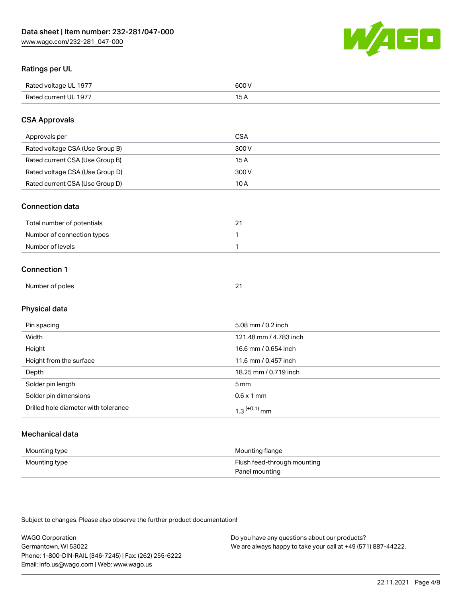

# Ratings per UL

| Rated voltage UL 1977 | soo v<br>วบบ<br>. |
|-----------------------|-------------------|
| Rated current UL 1977 | --                |
|                       | . J <i>r</i>      |

# CSA Approvals

| Approvals per                   | CSA   |
|---------------------------------|-------|
| Rated voltage CSA (Use Group B) | 300 V |
| Rated current CSA (Use Group B) | 15 A  |
| Rated voltage CSA (Use Group D) | 300 V |
| Rated current CSA (Use Group D) | 10 A  |

#### Connection data

| Total number of potentials |  |
|----------------------------|--|
| Number of connection types |  |
| Number of levels           |  |

#### Connection 1

| Number of poles | $\sim$<br>- |
|-----------------|-------------|
|                 |             |

# Physical data

| Pin spacing                          | 5.08 mm / 0.2 inch         |
|--------------------------------------|----------------------------|
| Width                                | 121.48 mm / 4.783 inch     |
| Height                               | 16.6 mm / 0.654 inch       |
| Height from the surface              | 11.6 mm / 0.457 inch       |
| Depth                                | 18.25 mm / 0.719 inch      |
| Solder pin length                    | $5 \,\mathrm{mm}$          |
| Solder pin dimensions                | $0.6 \times 1$ mm          |
| Drilled hole diameter with tolerance | $1.3$ <sup>(+0.1)</sup> mm |

# Mechanical data

| Mounting type | Mounting flange             |
|---------------|-----------------------------|
| Mounting type | Flush feed-through mounting |
|               | Panel mounting              |

Subject to changes. Please also observe the further product documentation!

| <b>WAGO Corporation</b>                                | Do you have any questions about our products?                 |
|--------------------------------------------------------|---------------------------------------------------------------|
| Germantown, WI 53022                                   | We are always happy to take your call at +49 (571) 887-44222. |
| Phone: 1-800-DIN-RAIL (346-7245)   Fax: (262) 255-6222 |                                                               |
| Email: info.us@wago.com   Web: www.wago.us             |                                                               |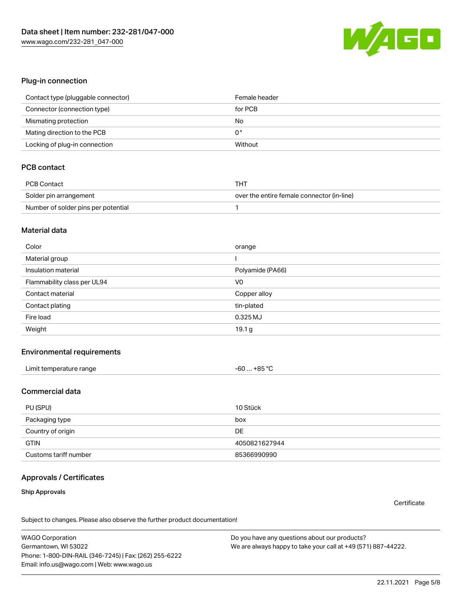

#### Plug-in connection

| Contact type (pluggable connector) | Female header |
|------------------------------------|---------------|
| Connector (connection type)        | for PCB       |
| Mismating protection               | No            |
| Mating direction to the PCB        | 0°            |
| Locking of plug-in connection      | Without       |

# PCB contact

| PCB Contact                         | THT                                        |
|-------------------------------------|--------------------------------------------|
| Solder pin arrangement              | over the entire female connector (in-line) |
| Number of solder pins per potential |                                            |

#### Material data

| Color                       | orange           |
|-----------------------------|------------------|
| Material group              |                  |
| Insulation material         | Polyamide (PA66) |
| Flammability class per UL94 | V <sub>0</sub>   |
|                             |                  |
| Contact material            | Copper alloy     |
| Contact plating             | tin-plated       |
| Fire load                   | 0.325 MJ         |

#### Environmental requirements

# Commercial data

| PU (SPU)              | 10 Stück      |
|-----------------------|---------------|
| Packaging type        | box           |
| Country of origin     | <b>DE</b>     |
| <b>GTIN</b>           | 4050821627944 |
| Customs tariff number | 85366990990   |

### Approvals / Certificates

#### Ship Approvals

**Certificate** 

Subject to changes. Please also observe the further product documentation!

WAGO Corporation Germantown, WI 53022 Phone: 1-800-DIN-RAIL (346-7245) | Fax: (262) 255-6222 Email: info.us@wago.com | Web: www.wago.us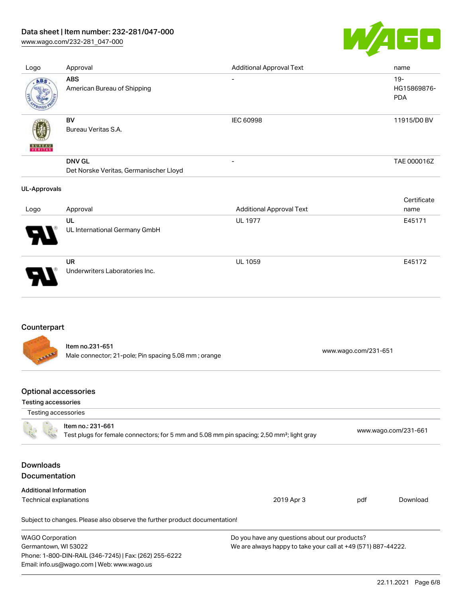# Data sheet | Item number: 232-281/047-000

[www.wago.com/232-281\\_047-000](http://www.wago.com/232-281_047-000)



| Logo                | Approval                                                | <b>Additional Approval Text</b> | name                                |
|---------------------|---------------------------------------------------------|---------------------------------|-------------------------------------|
| ABS                 | <b>ABS</b><br>American Bureau of Shipping               | $\overline{\phantom{0}}$        | $19 -$<br>HG15869876-<br><b>PDA</b> |
| <b>BUNEAU</b>       | BV<br>Bureau Veritas S.A.                               | <b>IEC 60998</b>                | 11915/D0 BV                         |
|                     | <b>DNV GL</b><br>Det Norske Veritas, Germanischer Lloyd | $\overline{\phantom{a}}$        | TAE 000016Z                         |
| <b>UL-Approvals</b> |                                                         |                                 |                                     |
|                     |                                                         |                                 |                                     |
| Logo                | Approval                                                | <b>Additional Approval Text</b> | Certificate<br>name                 |
|                     | UL<br>UL International Germany GmbH                     | <b>UL 1977</b>                  | E45171                              |

# Counterpart

Item no.231-651 Male connector; 21-pole; Pin spacing 5.08 mm ; orange [www.wago.com/231-651](https://www.wago.com/231-651) www.wago.com/231-651

# Optional accessories

Email: info.us@wago.com | Web: www.wago.us

#### Testing accessories

| Testing accessories                                                        |                                                                                                       |                                                               |                      |
|----------------------------------------------------------------------------|-------------------------------------------------------------------------------------------------------|---------------------------------------------------------------|----------------------|
| Item no.: 231-661                                                          | Test plugs for female connectors; for 5 mm and 5.08 mm pin spacing; 2,50 mm <sup>2</sup> ; light gray |                                                               | www.wago.com/231-661 |
| <b>Downloads</b><br><b>Documentation</b>                                   |                                                                                                       |                                                               |                      |
|                                                                            |                                                                                                       |                                                               |                      |
| <b>Additional Information</b>                                              |                                                                                                       |                                                               |                      |
| Technical explanations                                                     | 2019 Apr 3                                                                                            | pdf                                                           | Download             |
| Subject to changes. Please also observe the further product documentation! |                                                                                                       |                                                               |                      |
| <b>WAGO Corporation</b>                                                    | Do you have any questions about our products?                                                         |                                                               |                      |
| Germantown, WI 53022                                                       |                                                                                                       | We are always happy to take your call at +49 (571) 887-44222. |                      |
| Phone: 1-800-DIN-RAIL (346-7245)   Fax: (262) 255-6222                     |                                                                                                       |                                                               |                      |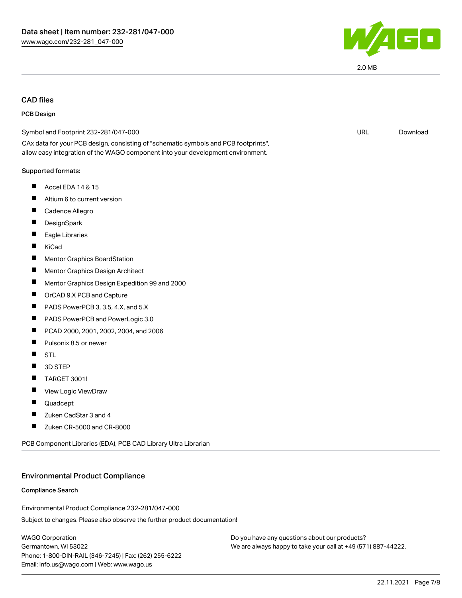

2.0 MB

# CAD files

#### PCB Design

| Symbol and Footprint 232-281/047-000                                                                                                                                   | <b>URL</b> | Download |
|------------------------------------------------------------------------------------------------------------------------------------------------------------------------|------------|----------|
| CAx data for your PCB design, consisting of "schematic symbols and PCB footprints",<br>allow easy integration of the WAGO component into your development environment. |            |          |
| Supported formats:                                                                                                                                                     |            |          |
| ш<br>Accel EDA 14 & 15                                                                                                                                                 |            |          |
| Altium 6 to current version                                                                                                                                            |            |          |
| Cadence Allegro                                                                                                                                                        |            |          |
| DesignSpark                                                                                                                                                            |            |          |
| Eagle Libraries                                                                                                                                                        |            |          |
| ш<br>KiCad                                                                                                                                                             |            |          |
| Mentor Graphics BoardStation                                                                                                                                           |            |          |
| Ш<br>Mentor Graphics Design Architect                                                                                                                                  |            |          |
| Mentor Graphics Design Expedition 99 and 2000                                                                                                                          |            |          |
| П<br>OrCAD 9.X PCB and Capture                                                                                                                                         |            |          |
| PADS PowerPCB 3, 3.5, 4.X, and 5.X                                                                                                                                     |            |          |
| ш<br>PADS PowerPCB and PowerLogic 3.0                                                                                                                                  |            |          |
| Ш<br>PCAD 2000, 2001, 2002, 2004, and 2006                                                                                                                             |            |          |
| Pulsonix 8.5 or newer<br>Ш                                                                                                                                             |            |          |
| <b>STL</b>                                                                                                                                                             |            |          |
| 3D STEP                                                                                                                                                                |            |          |
| ш<br><b>TARGET 3001!</b>                                                                                                                                               |            |          |
| View Logic ViewDraw                                                                                                                                                    |            |          |
| Quadcept                                                                                                                                                               |            |          |
| Zuken CadStar 3 and 4                                                                                                                                                  |            |          |
| Zuken CR-5000 and CR-8000                                                                                                                                              |            |          |
|                                                                                                                                                                        |            |          |

PCB Component Libraries (EDA), PCB CAD Library Ultra Librarian

#### Environmental Product Compliance

#### Compliance Search

Environmental Product Compliance 232-281/047-000

Subject to changes. Please also observe the further product documentation!

WAGO Corporation Germantown, WI 53022 Phone: 1-800-DIN-RAIL (346-7245) | Fax: (262) 255-6222 Email: info.us@wago.com | Web: www.wago.us